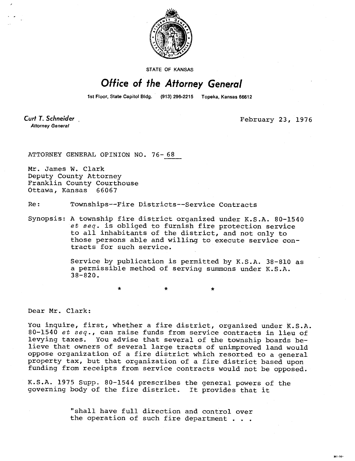

**STATE OF KANSAS** 

## Office of the Attorney General

1st Floor, State Capitol Bldg. (913) 296-2215 Topeka, Kansas 66612

Curt T. Schneider **Attorney General** 

February 23, 1976

ATTORNEY GENERAL OPINION NO. 76-68

Mr. James W. Clark Deputy County Attorney Franklin County Courthouse Ottawa, Kansas 66067

Re: Townships--Fire Districts--Service Contracts

 $\bullet$ 

Synopsis: A township fire district organized under K.S.A. 80-1540 et seq. is obliged to furnish fire protection service to all inhabitants of the district, and not only to those persons able and willing to execute service contracts for such service.

> Service by publication is permitted by K.S.A. 38-810 as a permissible method of serving summons under K.S.A. 38-820.

## Dear Mr. Clark:

You inquire, first, whether a fire district, organized under K.S.A. 80-1540 et seq., can raise funds from service contracts in lieu of levying taxes. You advise that several of the township boards believe that owners of several large tracts of unimproved land would oppose organization of a fire district which resorted to a general property tax, but that organization of a fire district based upon funding from receipts from service contracts would not be opposed.

K.S.A. 1975 Supp. 80-1544 prescribes the general powers of the governing body of the fire district. It provides that it

> "shall have full direction and control over the operation of such fire department . . .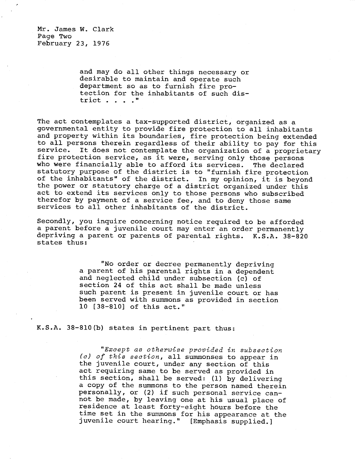Mr. James W. Clark Page Two February 23, 1976

> and may do all other things necessary or desirable to maintain and operate such department so as to furnish fire protection for the inhabitants of such district . . . ."

The act contemplates a tax-supported district, organized as a governmental entity to provide fire protection to all inhabitants and property within its boundaries, fire protection being extended to all persons therein regardless of their ability to pay for this<br>service. It does not contemplate the organization of a proprietary It does not contemplate the organization of a proprietary fire protection service, as it were, serving only those persons who were financially able to afford its services. The declared statutory purpose of the district is to "furnish fire protection of the inhabitants" of the district. In my opinion, it is beyond the power or statutory charge of a district organized under this act to extend its services only to those persons who subscribed therefor by payment of a service fee, and to deny those same services to all other inhabitants of the district.

Secondly, you inquire concerning notice required to be afforded a parent before a juvenile court may enter an order permanently depriving a parent or parents of parental rights. K.S.A. 38-820 states thus:

> "No order or decree permanently depriving a parent of his parental rights in a dependent and neglected child under subsection (c) of section 24 of this act shall be made unless such parent is present in juvenile court or has been served with summons as provided in section 10 [38-810] of this act."

K.S.A. 38-810(b) states in pertinent part thus:

"Except as otherwise provided in subsection (c) of this section, all summonses to appear in the juvenile court, under any section of this act requiring same to be served as provided in this section, shall be served: (1) by delivering a copy of the summons to the person named therein personally, or (2) if such personal service cannot be made, by leaving one at his usual place of residence at least forty-eight hours before the time set in the summons for his appearance at the juvenile court hearing." [Emphasis supplied.]